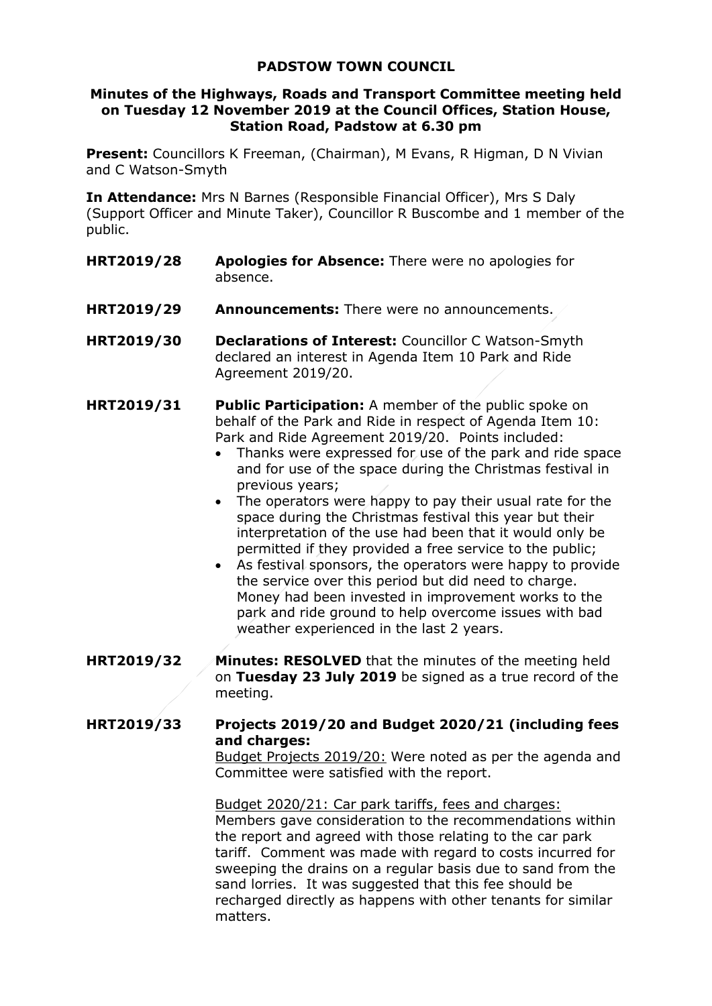# **PADSTOW TOWN COUNCIL**

### **Minutes of the Highways, Roads and Transport Committee meeting held on Tuesday 12 November 2019 at the Council Offices, Station House, Station Road, Padstow at 6.30 pm**

**Present:** Councillors K Freeman, (Chairman), M Evans, R Higman, D N Vivian and C Watson-Smyth

**In Attendance:** Mrs N Barnes (Responsible Financial Officer), Mrs S Daly (Support Officer and Minute Taker), Councillor R Buscombe and 1 member of the public.

- **HRT2019/28 Apologies for Absence:** There were no apologies for absence.
- **HRT2019/29 Announcements:** There were no announcements.
- **HRT2019/30 Declarations of Interest:** Councillor C Watson-Smyth declared an interest in Agenda Item 10 Park and Ride Agreement 2019/20.
- **HRT2019/31 Public Participation:** A member of the public spoke on behalf of the Park and Ride in respect of Agenda Item 10: Park and Ride Agreement 2019/20. Points included:
	- Thanks were expressed for use of the park and ride space and for use of the space during the Christmas festival in previous years;
	- The operators were happy to pay their usual rate for the space during the Christmas festival this year but their interpretation of the use had been that it would only be permitted if they provided a free service to the public;
	- As festival sponsors, the operators were happy to provide the service over this period but did need to charge. Money had been invested in improvement works to the park and ride ground to help overcome issues with bad weather experienced in the last 2 years.
- **HRT2019/32 Minutes: RESOLVED** that the minutes of the meeting held on **Tuesday 23 July 2019** be signed as a true record of the meeting.

## **HRT2019/33 Projects 2019/20 and Budget 2020/21 (including fees and charges:**

Budget Projects 2019/20: Were noted as per the agenda and Committee were satisfied with the report.

Budget 2020/21: Car park tariffs, fees and charges: Members gave consideration to the recommendations within the report and agreed with those relating to the car park tariff. Comment was made with regard to costs incurred for sweeping the drains on a regular basis due to sand from the sand lorries. It was suggested that this fee should be recharged directly as happens with other tenants for similar matters.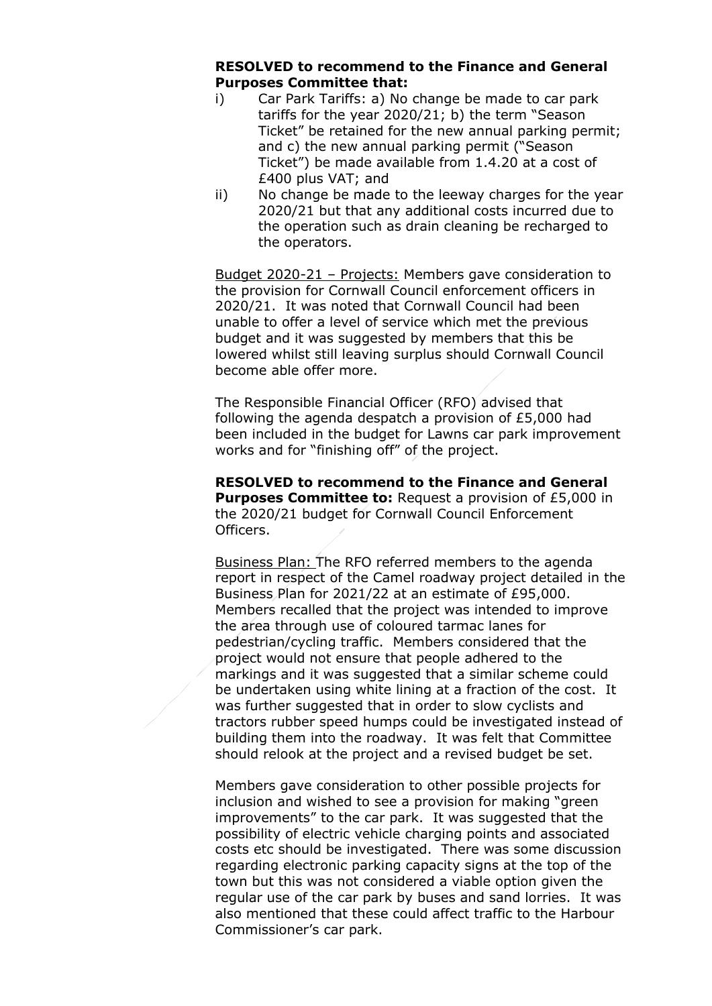#### **RESOLVED to recommend to the Finance and General Purposes Committee that:**

- i) Car Park Tariffs: a) No change be made to car park tariffs for the year 2020/21; b) the term "Season Ticket" be retained for the new annual parking permit; and c) the new annual parking permit ("Season Ticket") be made available from 1.4.20 at a cost of £400 plus VAT; and
- ii) No change be made to the leeway charges for the year 2020/21 but that any additional costs incurred due to the operation such as drain cleaning be recharged to the operators.

Budget 2020-21 - Projects: Members gave consideration to the provision for Cornwall Council enforcement officers in 2020/21. It was noted that Cornwall Council had been unable to offer a level of service which met the previous budget and it was suggested by members that this be lowered whilst still leaving surplus should Cornwall Council become able offer more.

The Responsible Financial Officer (RFO) advised that following the agenda despatch a provision of £5,000 had been included in the budget for Lawns car park improvement works and for "finishing off" of the project.

**RESOLVED to recommend to the Finance and General Purposes Committee to: Request a provision of £5,000 in** the 2020/21 budget for Cornwall Council Enforcement Officers.

Business Plan: The RFO referred members to the agenda report in respect of the Camel roadway project detailed in the Business Plan for 2021/22 at an estimate of £95,000. Members recalled that the project was intended to improve the area through use of coloured tarmac lanes for pedestrian/cycling traffic. Members considered that the project would not ensure that people adhered to the markings and it was suggested that a similar scheme could be undertaken using white lining at a fraction of the cost. It was further suggested that in order to slow cyclists and tractors rubber speed humps could be investigated instead of building them into the roadway. It was felt that Committee should relook at the project and a revised budget be set.

Members gave consideration to other possible projects for inclusion and wished to see a provision for making "green improvements" to the car park. It was suggested that the possibility of electric vehicle charging points and associated costs etc should be investigated. There was some discussion regarding electronic parking capacity signs at the top of the town but this was not considered a viable option given the regular use of the car park by buses and sand lorries. It was also mentioned that these could affect traffic to the Harbour Commissioner's car park.